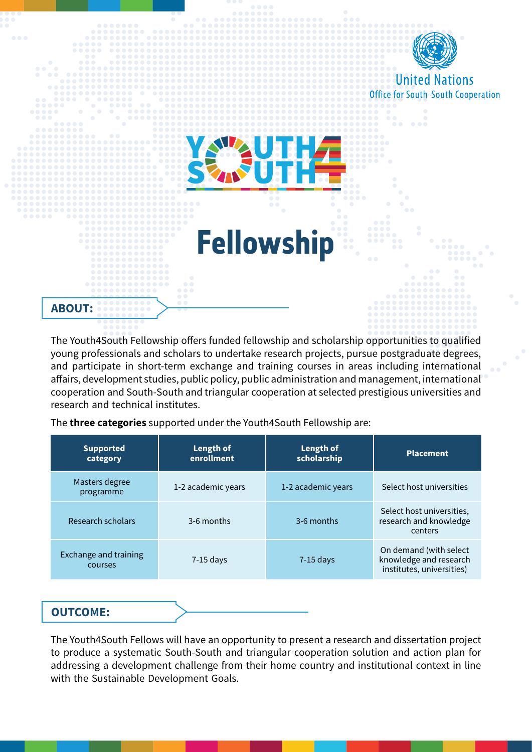

The Youth4South Fellowship offers funded fellowship and scholarship opportunities to qualified young professionals and scholars to undertake research projects, pursue postgraduate degrees, and participate in short-term exchange and training courses in areas including international affairs, development studies, public policy, public administration and management, international cooperation and South-South and triangular cooperation at selected prestigious universities and research and technical institutes.

The **three categories** supported under the Youth4South Fellowship are:

| <b>Supported</b><br>category     | Length of<br>enrollment | Length of<br>scholarship | <b>Placement</b>                                                              |
|----------------------------------|-------------------------|--------------------------|-------------------------------------------------------------------------------|
| Masters degree<br>programme      | 1-2 academic years      | 1-2 academic years       | Select host universities                                                      |
| Research scholars                | 3-6 months              | 3-6 months               | Select host universities,<br>research and knowledge<br>centers                |
| Exchange and training<br>courses | $7-15$ days             | $7-15$ days              | On demand (with select<br>knowledge and research<br>institutes, universities) |

## **:OUTCOME**

The Youth4South Fellows will have an opportunity to present a research and dissertation project to produce a systematic South-South and triangular cooperation solution and action plan for addressing a development challenge from their home country and institutional context in line with the Sustainable Development Goals.